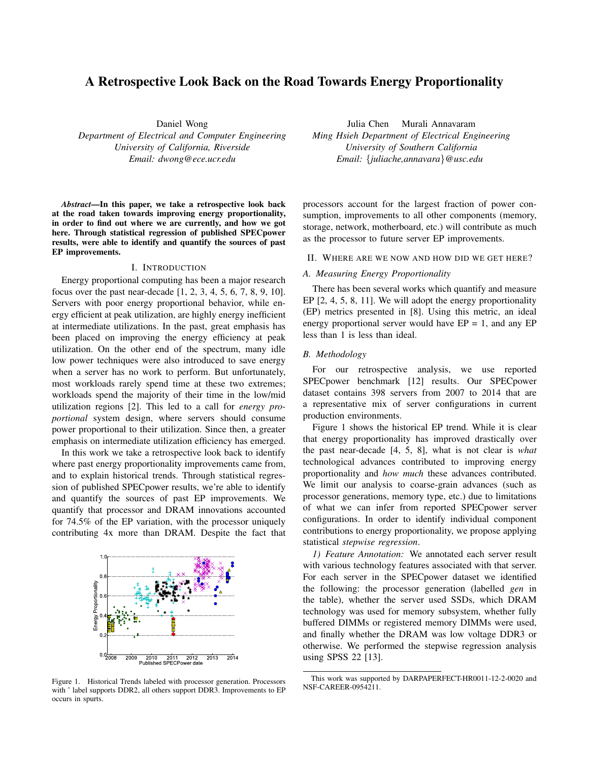# A Retrospective Look Back on the Road Towards Energy Proportionality

Daniel Wong *Department of Electrical and Computer Engineering University of California, Riverside Email: dwong@ece.ucr.edu*

*Abstract*—In this paper, we take a retrospective look back at the road taken towards improving energy proportionality, in order to find out where we are currently, and how we got here. Through statistical regression of published SPECpower results, were able to identify and quantify the sources of past EP improvements.

#### I. INTRODUCTION

Energy proportional computing has been a major research focus over the past near-decade [1, 2, 3, 4, 5, 6, 7, 8, 9, 10]. Servers with poor energy proportional behavior, while energy efficient at peak utilization, are highly energy inefficient at intermediate utilizations. In the past, great emphasis has been placed on improving the energy efficiency at peak utilization. On the other end of the spectrum, many idle low power techniques were also introduced to save energy when a server has no work to perform. But unfortunately, most workloads rarely spend time at these two extremes; workloads spend the majority of their time in the low/mid utilization regions [2]. This led to a call for *energy proportional* system design, where servers should consume power proportional to their utilization. Since then, a greater emphasis on intermediate utilization efficiency has emerged.

In this work we take a retrospective look back to identify where past energy proportionality improvements came from, and to explain historical trends. Through statistical regression of published SPECpower results, we're able to identify and quantify the sources of past EP improvements. We quantify that processor and DRAM innovations accounted for 74.5% of the EP variation, with the processor uniquely contributing 4x more than DRAM. Despite the fact that



Figure 1. Historical Trends labeled with processor generation. Processors with  $\hat{}$  label supports DDR2, all others support DDR3. Improvements to EP occurs in spurts.

Julia Chen Murali Annavaram *Ming Hsieh Department of Electrical Engineering University of Southern California Email: {juliache,annavara}@usc.edu*

processors account for the largest fraction of power consumption, improvements to all other components (memory, storage, network, motherboard, etc.) will contribute as much as the processor to future server EP improvements.

#### II. WHERE ARE WE NOW AND HOW DID WE GET HERE?

### *A. Measuring Energy Proportionality*

There has been several works which quantify and measure EP [2, 4, 5, 8, 11]. We will adopt the energy proportionality (EP) metrics presented in [8]. Using this metric, an ideal energy proportional server would have  $EP = 1$ , and any  $EP$ less than 1 is less than ideal.

#### *B. Methodology*

For our retrospective analysis, we use reported SPECpower benchmark [12] results. Our SPECpower dataset contains 398 servers from 2007 to 2014 that are a representative mix of server configurations in current production environments.

Figure 1 shows the historical EP trend. While it is clear that energy proportionality has improved drastically over the past near-decade [4, 5, 8], what is not clear is *what* technological advances contributed to improving energy proportionality and *how much* these advances contributed. We limit our analysis to coarse-grain advances (such as processor generations, memory type, etc.) due to limitations of what we can infer from reported SPECpower server configurations. In order to identify individual component contributions to energy proportionality, we propose applying statistical *stepwise regression*.

*1) Feature Annotation:* We annotated each server result with various technology features associated with that server. For each server in the SPECpower dataset we identified the following: the processor generation (labelled *gen* in the table), whether the server used SSDs, which DRAM technology was used for memory subsystem, whether fully buffered DIMMs or registered memory DIMMs were used, and finally whether the DRAM was low voltage DDR3 or otherwise. We performed the stepwise regression analysis using SPSS 22 [13].

This work was supported by DARPAPERFECT-HR0011-12-2-0020 and NSF-CAREER-0954211.